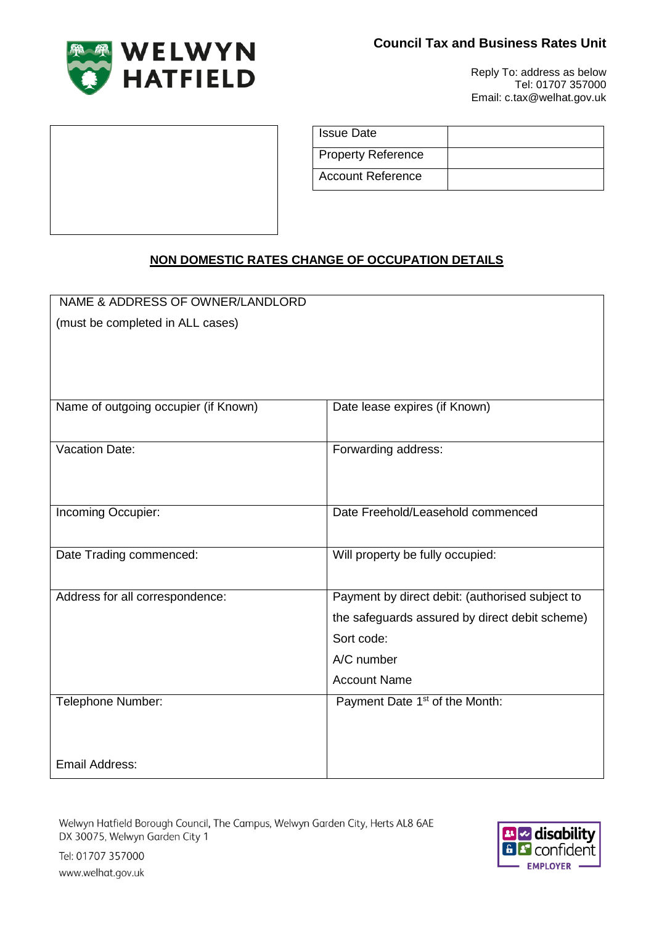



Reply To: address as below Tel: 01707 357000 Email: c.tax@welhat.gov.uk

| <b>Issue Date</b>         |  |
|---------------------------|--|
| <b>Property Reference</b> |  |
| <b>Account Reference</b>  |  |

# **NON DOMESTIC RATES CHANGE OF OCCUPATION DETAILS**

| NAME & ADDRESS OF OWNER/LANDLORD     |                                                 |
|--------------------------------------|-------------------------------------------------|
| (must be completed in ALL cases)     |                                                 |
|                                      |                                                 |
|                                      |                                                 |
|                                      |                                                 |
| Name of outgoing occupier (if Known) | Date lease expires (if Known)                   |
|                                      |                                                 |
|                                      |                                                 |
| <b>Vacation Date:</b>                | Forwarding address:                             |
|                                      |                                                 |
|                                      |                                                 |
| Incoming Occupier:                   | Date Freehold/Leasehold commenced               |
|                                      |                                                 |
| Date Trading commenced:              | Will property be fully occupied:                |
|                                      |                                                 |
| Address for all correspondence:      | Payment by direct debit: (authorised subject to |
|                                      | the safeguards assured by direct debit scheme)  |
|                                      | Sort code:                                      |
|                                      | A/C number                                      |
|                                      | <b>Account Name</b>                             |
| Telephone Number:                    | Payment Date 1 <sup>st</sup> of the Month:      |
|                                      |                                                 |
|                                      |                                                 |
|                                      |                                                 |
| Email Address:                       |                                                 |

Welwyn Hatfield Borough Council, The Campus, Welwyn Garden City, Herts AL8 6AE DX 30075, Welwyn Garden City 1



Tel: 01707 357000 www.welhat.gov.uk